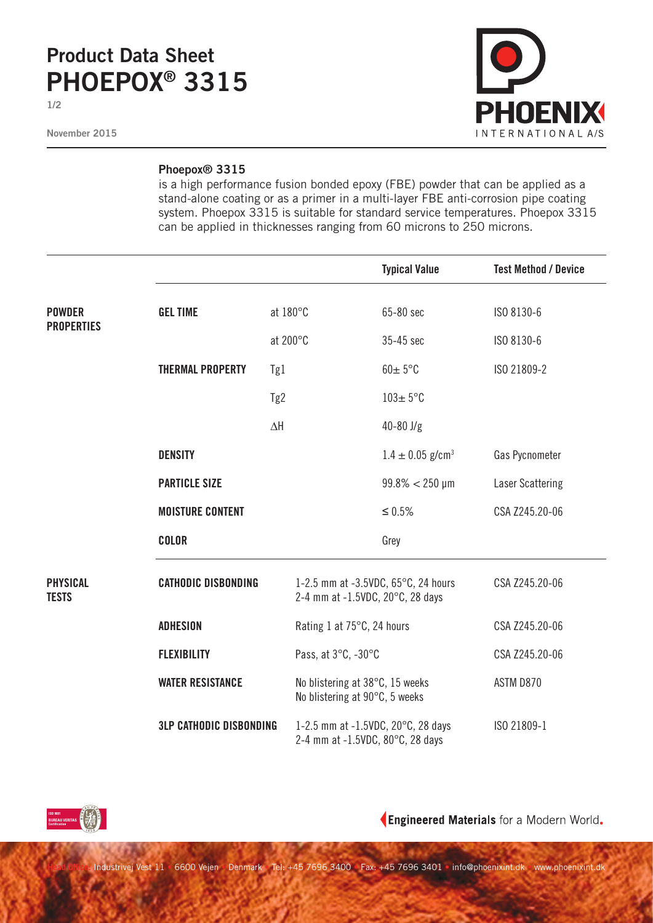## **Product Data Sheet PHOEPOX® 3315**

**1/2**

**November 2015**



## **Phoepox® 3315**

is a high performance fusion bonded epoxy (FBE) powder that can be applied as a stand-alone coating or as a primer in a multi-layer FBE anti-corrosion pipe coating system. Phoepox 3315 is suitable for standard service temperatures. Phoepox 3315 can be applied in thicknesses ranging from 60 microns to 250 microns.

|                                    |                                |                                                                   |                                                                         | <b>Typical Value</b>             | <b>Test Method / Device</b> |
|------------------------------------|--------------------------------|-------------------------------------------------------------------|-------------------------------------------------------------------------|----------------------------------|-----------------------------|
| <b>POWDER</b><br><b>PROPERTIES</b> | <b>GEL TIME</b><br>at 180°C    |                                                                   |                                                                         | 65-80 sec                        | ISO 8130-6                  |
|                                    |                                | at 200°C                                                          |                                                                         | 35-45 sec                        | ISO 8130-6                  |
|                                    | <b>THERMAL PROPERTY</b>        | Tg1                                                               |                                                                         | $60 \pm 5$ °C                    | ISO 21809-2                 |
|                                    |                                | Tg2                                                               |                                                                         | $103 \pm 5$ °C                   |                             |
|                                    |                                | $\Delta \mathsf{H}$                                               |                                                                         | $40 - 80$ J/g                    |                             |
|                                    | <b>DENSITY</b>                 |                                                                   |                                                                         | $1.4 \pm 0.05$ g/cm <sup>3</sup> | Gas Pycnometer              |
|                                    | <b>PARTICLE SIZE</b>           |                                                                   |                                                                         | $99.8\% < 250 \text{ µm}$        | <b>Laser Scattering</b>     |
|                                    | <b>MOISTURE CONTENT</b>        |                                                                   |                                                                         | $\leq 0.5\%$                     | CSA Z245.20-06              |
|                                    | <b>COLOR</b>                   |                                                                   |                                                                         | Grey                             |                             |
| <b>PHYSICAL</b><br><b>TESTS</b>    | <b>CATHODIC DISBONDING</b>     |                                                                   | 1-2.5 mm at -3.5VDC, 65°C, 24 hours<br>2-4 mm at -1.5VDC, 20°C, 28 days |                                  | CSA Z245.20-06              |
|                                    | <b>ADHESION</b>                |                                                                   | Rating 1 at 75°C, 24 hours                                              |                                  | CSA Z245.20-06              |
|                                    | <b>FLEXIBILITY</b>             |                                                                   | Pass, at 3°C, -30°C                                                     |                                  | CSA Z245.20-06              |
|                                    | <b>WATER RESISTANCE</b>        | No blistering at 38°C, 15 weeks<br>No blistering at 90°C, 5 weeks |                                                                         |                                  | ASTM D870                   |
|                                    | <b>3LP CATHODIC DISBONDING</b> |                                                                   | 1-2.5 mm at -1.5VDC, 20°C, 28 days<br>2-4 mm at -1.5VDC, 80°C, 28 days  |                                  | ISO 21809-1                 |



Engineered Materials for a Modern World.